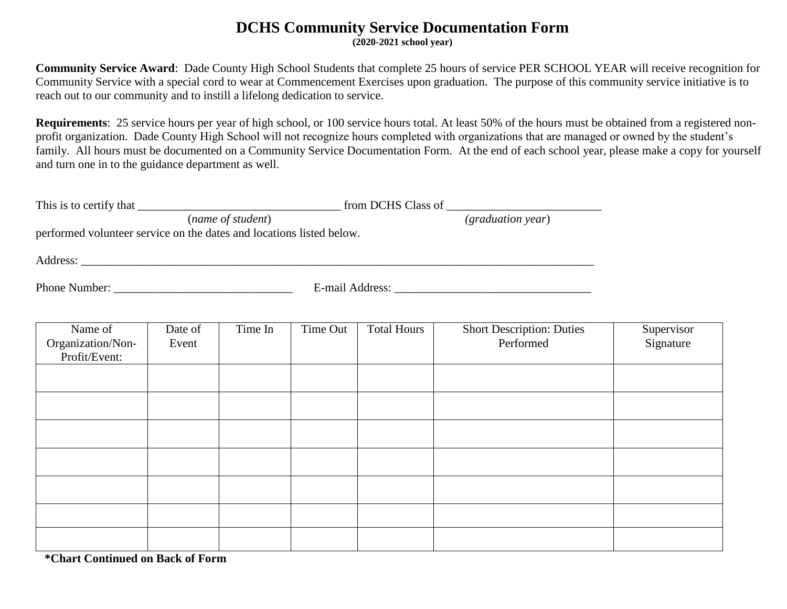## **DCHS Community Service Documentation Form**

**(2020-2021 school year)**

**Community Service Award**: Dade County High School Students that complete 25 hours of service PER SCHOOL YEAR will receive recognition for Community Service with a special cord to wear at Commencement Exercises upon graduation. The purpose of this community service initiative is to reach out to our community and to instill a lifelong dedication to service.

**Requirements**: 25 service hours per year of high school, or 100 service hours total. At least 50% of the hours must be obtained from a registered nonprofit organization. Dade County High School will not recognize hours completed with organizations that are managed or owned by the student's family. All hours must be documented on a Community Service Documentation Form. At the end of each school year, please make a copy for yourself and turn one in to the guidance department as well.

| performed volunteer service on the dates and locations listed below. |                  |         |          |                    |                                               |                         |  |  |
|----------------------------------------------------------------------|------------------|---------|----------|--------------------|-----------------------------------------------|-------------------------|--|--|
|                                                                      |                  |         |          |                    |                                               |                         |  |  |
|                                                                      |                  |         |          |                    |                                               |                         |  |  |
|                                                                      |                  |         |          |                    |                                               |                         |  |  |
| Name of<br>Organization/Non-<br>Profit/Event:                        | Date of<br>Event | Time In | Time Out | <b>Total Hours</b> | <b>Short Description: Duties</b><br>Performed | Supervisor<br>Signature |  |  |
|                                                                      |                  |         |          |                    |                                               |                         |  |  |
|                                                                      |                  |         |          |                    |                                               |                         |  |  |
|                                                                      |                  |         |          |                    |                                               |                         |  |  |
|                                                                      |                  |         |          |                    |                                               |                         |  |  |
|                                                                      |                  |         |          |                    |                                               |                         |  |  |
|                                                                      |                  |         |          |                    |                                               |                         |  |  |

 **\*Chart Continued on Back of Form**